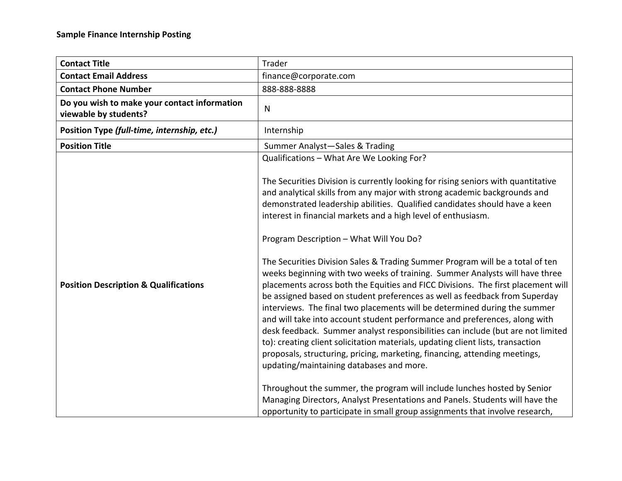| <b>Contact Title</b>                                                  | Trader                                                                                                                                                                                                                                                                                                                                                                                                                                                                                                                                                                                                                                                                                                                                                                                                                                                                                                                                                                                                                                                                                                                                                                                                                                                                                                                                                                                                                                         |
|-----------------------------------------------------------------------|------------------------------------------------------------------------------------------------------------------------------------------------------------------------------------------------------------------------------------------------------------------------------------------------------------------------------------------------------------------------------------------------------------------------------------------------------------------------------------------------------------------------------------------------------------------------------------------------------------------------------------------------------------------------------------------------------------------------------------------------------------------------------------------------------------------------------------------------------------------------------------------------------------------------------------------------------------------------------------------------------------------------------------------------------------------------------------------------------------------------------------------------------------------------------------------------------------------------------------------------------------------------------------------------------------------------------------------------------------------------------------------------------------------------------------------------|
| <b>Contact Email Address</b>                                          | finance@corporate.com                                                                                                                                                                                                                                                                                                                                                                                                                                                                                                                                                                                                                                                                                                                                                                                                                                                                                                                                                                                                                                                                                                                                                                                                                                                                                                                                                                                                                          |
| <b>Contact Phone Number</b>                                           | 888-888-8888                                                                                                                                                                                                                                                                                                                                                                                                                                                                                                                                                                                                                                                                                                                                                                                                                                                                                                                                                                                                                                                                                                                                                                                                                                                                                                                                                                                                                                   |
| Do you wish to make your contact information<br>viewable by students? | $\mathsf{N}$                                                                                                                                                                                                                                                                                                                                                                                                                                                                                                                                                                                                                                                                                                                                                                                                                                                                                                                                                                                                                                                                                                                                                                                                                                                                                                                                                                                                                                   |
| Position Type (full-time, internship, etc.)                           | Internship                                                                                                                                                                                                                                                                                                                                                                                                                                                                                                                                                                                                                                                                                                                                                                                                                                                                                                                                                                                                                                                                                                                                                                                                                                                                                                                                                                                                                                     |
| <b>Position Title</b>                                                 | Summer Analyst-Sales & Trading                                                                                                                                                                                                                                                                                                                                                                                                                                                                                                                                                                                                                                                                                                                                                                                                                                                                                                                                                                                                                                                                                                                                                                                                                                                                                                                                                                                                                 |
| <b>Position Description &amp; Qualifications</b>                      | Qualifications - What Are We Looking For?<br>The Securities Division is currently looking for rising seniors with quantitative<br>and analytical skills from any major with strong academic backgrounds and<br>demonstrated leadership abilities. Qualified candidates should have a keen<br>interest in financial markets and a high level of enthusiasm.<br>Program Description - What Will You Do?<br>The Securities Division Sales & Trading Summer Program will be a total of ten<br>weeks beginning with two weeks of training. Summer Analysts will have three<br>placements across both the Equities and FICC Divisions. The first placement will<br>be assigned based on student preferences as well as feedback from Superday<br>interviews. The final two placements will be determined during the summer<br>and will take into account student performance and preferences, along with<br>desk feedback. Summer analyst responsibilities can include (but are not limited<br>to): creating client solicitation materials, updating client lists, transaction<br>proposals, structuring, pricing, marketing, financing, attending meetings,<br>updating/maintaining databases and more.<br>Throughout the summer, the program will include lunches hosted by Senior<br>Managing Directors, Analyst Presentations and Panels. Students will have the<br>opportunity to participate in small group assignments that involve research, |